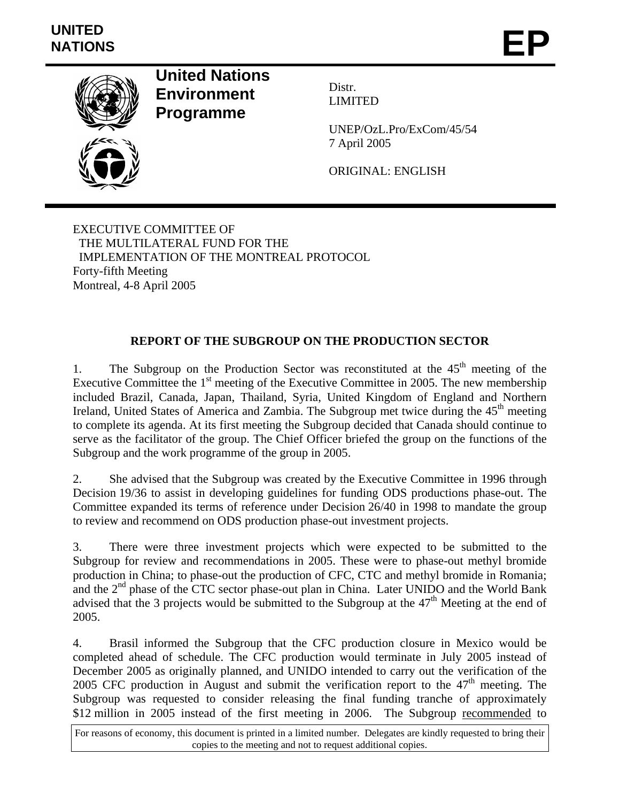

**United Nations Environment Programme** 



Distr. LIMITED

UNEP/OzL.Pro/ExCom/45/54 7 April 2005

ORIGINAL: ENGLISH

EXECUTIVE COMMITTEE OF THE MULTILATERAL FUND FOR THE IMPLEMENTATION OF THE MONTREAL PROTOCOL Forty-fifth Meeting Montreal, 4-8 April 2005

## **REPORT OF THE SUBGROUP ON THE PRODUCTION SECTOR**

1. The Subgroup on the Production Sector was reconstituted at the  $45<sup>th</sup>$  meeting of the Executive Committee the  $1<sup>st</sup>$  meeting of the Executive Committee in 2005. The new membership included Brazil, Canada, Japan, Thailand, Syria, United Kingdom of England and Northern Ireland, United States of America and Zambia. The Subgroup met twice during the  $45<sup>th</sup>$  meeting to complete its agenda. At its first meeting the Subgroup decided that Canada should continue to serve as the facilitator of the group. The Chief Officer briefed the group on the functions of the Subgroup and the work programme of the group in 2005.

2. She advised that the Subgroup was created by the Executive Committee in 1996 through Decision 19/36 to assist in developing guidelines for funding ODS productions phase-out. The Committee expanded its terms of reference under Decision 26/40 in 1998 to mandate the group to review and recommend on ODS production phase-out investment projects.

3. There were three investment projects which were expected to be submitted to the Subgroup for review and recommendations in 2005. These were to phase-out methyl bromide production in China; to phase-out the production of CFC, CTC and methyl bromide in Romania; and the  $2<sup>nd</sup>$  phase of the CTC sector phase-out plan in China. Later UNIDO and the World Bank advised that the 3 projects would be submitted to the Subgroup at the  $47<sup>th</sup>$  Meeting at the end of 2005.

4. Brasil informed the Subgroup that the CFC production closure in Mexico would be completed ahead of schedule. The CFC production would terminate in July 2005 instead of December 2005 as originally planned, and UNIDO intended to carry out the verification of the 2005 CFC production in August and submit the verification report to the  $47<sup>th</sup>$  meeting. The Subgroup was requested to consider releasing the final funding tranche of approximately \$12 million in 2005 instead of the first meeting in 2006. The Subgroup recommended to

For reasons of economy, this document is printed in a limited number. Delegates are kindly requested to bring their copies to the meeting and not to request additional copies.